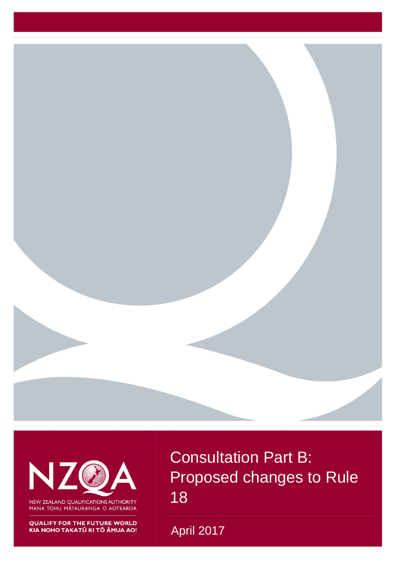

N

NEW ZEALAND QUALIFICATIONS AUTHORITY MANA TOHU MĀTAURANGA O AOTEAROA

**QUALIFY FOR THE FUTURE WORLD** 

Consultation Part B: Proposed changes to Rule 18

NZQA proposed changes to Rule 18 1 April 2017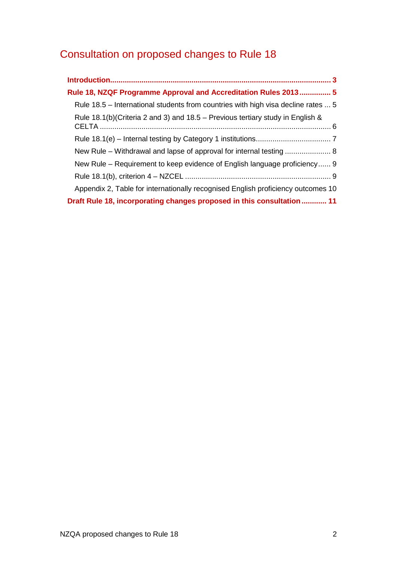# Consultation on proposed changes to Rule 18

| Rule 18, NZQF Programme Approval and Accreditation Rules 2013 5                   |
|-----------------------------------------------------------------------------------|
| Rule 18.5 – International students from countries with high visa decline rates  5 |
| Rule 18.1(b)(Criteria 2 and 3) and 18.5 – Previous tertiary study in English &    |
|                                                                                   |
| New Rule – Withdrawal and lapse of approval for internal testing  8               |
| New Rule – Requirement to keep evidence of English language proficiency 9         |
|                                                                                   |
| Appendix 2, Table for internationally recognised English proficiency outcomes 10  |
| Draft Rule 18, incorporating changes proposed in this consultation  11            |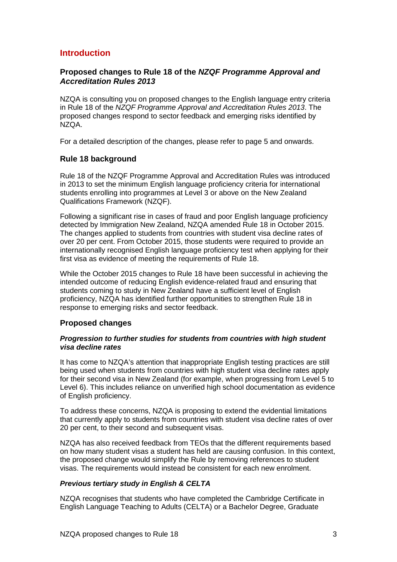### <span id="page-2-0"></span>**Introduction**

### **Proposed changes to Rule 18 of the** *NZQF Programme Approval and Accreditation Rules 2013*

NZQA is consulting you on proposed changes to the English language entry criteria in Rule 18 of the *NZQF Programme Approval and Accreditation Rules 2013*. The proposed changes respond to sector feedback and emerging risks identified by NZQA.

For a detailed description of the changes, please refer to page 5 and onwards.

### **Rule 18 background**

Rule 18 of the NZQF Programme Approval and Accreditation Rules was introduced in 2013 to set the minimum English language proficiency criteria for international students enrolling into programmes at Level 3 or above on the New Zealand Qualifications Framework (NZQF).

Following a significant rise in cases of fraud and poor English language proficiency detected by Immigration New Zealand, NZQA amended Rule 18 in October 2015. The changes applied to students from countries with student visa decline rates of over 20 per cent. From October 2015, those students were required to provide an internationally recognised English language proficiency test when applying for their first visa as evidence of meeting the requirements of Rule 18.

While the October 2015 changes to Rule 18 have been successful in achieving the intended outcome of reducing English evidence-related fraud and ensuring that students coming to study in New Zealand have a sufficient level of English proficiency, NZQA has identified further opportunities to strengthen Rule 18 in response to emerging risks and sector feedback.

### **Proposed changes**

#### *Progression to further studies for students from countries with high student visa decline rates*

It has come to NZQA's attention that inappropriate English testing practices are still being used when students from countries with high student visa decline rates apply for their second visa in New Zealand (for example, when progressing from Level 5 to Level 6). This includes reliance on unverified high school documentation as evidence of English proficiency.

To address these concerns, NZQA is proposing to extend the evidential limitations that currently apply to students from countries with student visa decline rates of over 20 per cent, to their second and subsequent visas.

NZQA has also received feedback from TEOs that the different requirements based on how many student visas a student has held are causing confusion. In this context, the proposed change would simplify the Rule by removing references to student visas. The requirements would instead be consistent for each new enrolment.

### *Previous tertiary study in English & CELTA*

NZQA recognises that students who have completed the Cambridge Certificate in English Language Teaching to Adults (CELTA) or a Bachelor Degree, Graduate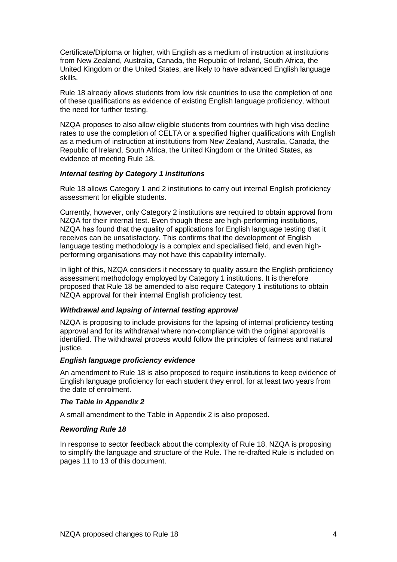Certificate/Diploma or higher, with English as a medium of instruction at institutions from New Zealand, Australia, Canada, the Republic of Ireland, South Africa, the United Kingdom or the United States, are likely to have advanced English language skills.

Rule 18 already allows students from low risk countries to use the completion of one of these qualifications as evidence of existing English language proficiency, without the need for further testing.

NZQA proposes to also allow eligible students from countries with high visa decline rates to use the completion of CELTA or a specified higher qualifications with English as a medium of instruction at institutions from New Zealand, Australia, Canada, the Republic of Ireland, South Africa, the United Kingdom or the United States, as evidence of meeting Rule 18.

### *Internal testing by Category 1 institutions*

Rule 18 allows Category 1 and 2 institutions to carry out internal English proficiency assessment for eligible students.

Currently, however, only Category 2 institutions are required to obtain approval from NZQA for their internal test. Even though these are high-performing institutions, NZQA has found that the quality of applications for English language testing that it receives can be unsatisfactory. This confirms that the development of English language testing methodology is a complex and specialised field, and even highperforming organisations may not have this capability internally.

In light of this, NZQA considers it necessary to quality assure the English proficiency assessment methodology employed by Category 1 institutions. It is therefore proposed that Rule 18 be amended to also require Category 1 institutions to obtain NZQA approval for their internal English proficiency test.

#### *Withdrawal and lapsing of internal testing approval*

NZQA is proposing to include provisions for the lapsing of internal proficiency testing approval and for its withdrawal where non-compliance with the original approval is identified. The withdrawal process would follow the principles of fairness and natural justice.

### *English language proficiency evidence*

An amendment to Rule 18 is also proposed to require institutions to keep evidence of English language proficiency for each student they enrol, for at least two years from the date of enrolment.

### *The Table in Appendix 2*

A small amendment to the Table in Appendix 2 is also proposed.

#### *Rewording Rule 18*

In response to sector feedback about the complexity of Rule 18, NZQA is proposing to simplify the language and structure of the Rule. The re-drafted Rule is included on pages 11 to 13 of this document.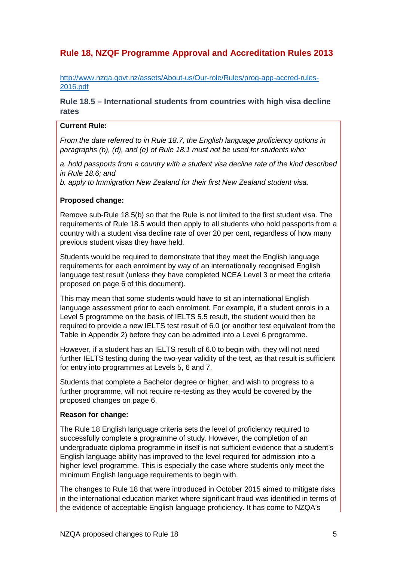# <span id="page-4-0"></span>**Rule 18, NZQF Programme Approval and Accreditation Rules 2013**

http://www.nzqa.govt.nz/assets/About-us/Our-role/Rules/prog-app-accred-rules-2016.pdf

### <span id="page-4-1"></span>**Rule 18.5 – International students from countries with high visa decline rates**

#### **Current Rule:**

*From the date referred to in Rule 18.7, the English language proficiency options in paragraphs (b), (d), and (e) of Rule 18.1 must not be used for students who:*

*a. hold passports from a country with a student visa decline rate of the kind described in Rule 18.6; and*

*b. apply to Immigration New Zealand for their first New Zealand student visa.* 

### **Proposed change:**

Remove sub-Rule 18.5(b) so that the Rule is not limited to the first student visa. The requirements of Rule 18.5 would then apply to all students who hold passports from a country with a student visa decline rate of over 20 per cent, regardless of how many previous student visas they have held.

Students would be required to demonstrate that they meet the English language requirements for each enrolment by way of an internationally recognised English language test result (unless they have completed NCEA Level 3 or meet the criteria proposed on page 6 of this document).

This may mean that some students would have to sit an international English language assessment prior to each enrolment. For example, if a student enrols in a Level 5 programme on the basis of IELTS 5.5 result, the student would then be required to provide a new IELTS test result of 6.0 (or another test equivalent from the Table in Appendix 2) before they can be admitted into a Level 6 programme.

However, if a student has an IELTS result of 6.0 to begin with, they will not need further IELTS testing during the two-year validity of the test, as that result is sufficient for entry into programmes at Levels 5, 6 and 7.

Students that complete a Bachelor degree or higher, and wish to progress to a further programme, will not require re-testing as they would be covered by the proposed changes on page 6.

### **Reason for change:**

The Rule 18 English language criteria sets the level of proficiency required to successfully complete a programme of study. However, the completion of an undergraduate diploma programme in itself is not sufficient evidence that a student's English language ability has improved to the level required for admission into a higher level programme. This is especially the case where students only meet the minimum English language requirements to begin with.

The changes to Rule 18 that were introduced in October 2015 aimed to mitigate risks in the international education market where significant fraud was identified in terms of the evidence of acceptable English language proficiency. It has come to NZQA's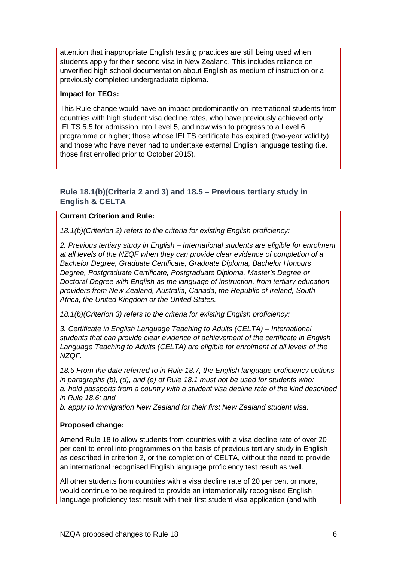attention that inappropriate English testing practices are still being used when students apply for their second visa in New Zealand. This includes reliance on unverified high school documentation about English as medium of instruction or a previously completed undergraduate diploma.

### **Impact for TEOs:**

This Rule change would have an impact predominantly on international students from countries with high student visa decline rates, who have previously achieved only IELTS 5.5 for admission into Level 5, and now wish to progress to a Level 6 programme or higher; those whose IELTS certificate has expired (two-year validity); and those who have never had to undertake external English language testing (i.e. those first enrolled prior to October 2015).

### <span id="page-5-0"></span>**Rule 18.1(b)(Criteria 2 and 3) and 18.5 – Previous tertiary study in English & CELTA**

### **Current Criterion and Rule:**

*18.1(b)(Criterion 2) refers to the criteria for existing English proficiency:*

*2. Previous tertiary study in English – International students are eligible for enrolment at all levels of the NZQF when they can provide clear evidence of completion of a Bachelor Degree, Graduate Certificate, Graduate Diploma, Bachelor Honours Degree, Postgraduate Certificate, Postgraduate Diploma, Master's Degree or Doctoral Degree with English as the language of instruction, from tertiary education providers from New Zealand, Australia, Canada, the Republic of Ireland, South Africa, the United Kingdom or the United States.* 

*18.1(b)(Criterion 3) refers to the criteria for existing English proficiency:*

*3. Certificate in English Language Teaching to Adults (CELTA) – International students that can provide clear evidence of achievement of the certificate in English Language Teaching to Adults (CELTA) are eligible for enrolment at all levels of the NZQF.* 

*18.5 From the date referred to in Rule 18.7, the English language proficiency options in paragraphs (b), (d), and (e) of Rule 18.1 must not be used for students who: a. hold passports from a country with a student visa decline rate of the kind described in Rule 18.6; and*

*b. apply to Immigration New Zealand for their first New Zealand student visa.* 

### **Proposed change:**

Amend Rule 18 to allow students from countries with a visa decline rate of over 20 per cent to enrol into programmes on the basis of previous tertiary study in English as described in criterion 2, or the completion of CELTA, without the need to provide an international recognised English language proficiency test result as well.

All other students from countries with a visa decline rate of 20 per cent or more, would continue to be required to provide an internationally recognised English language proficiency test result with their first student visa application (and with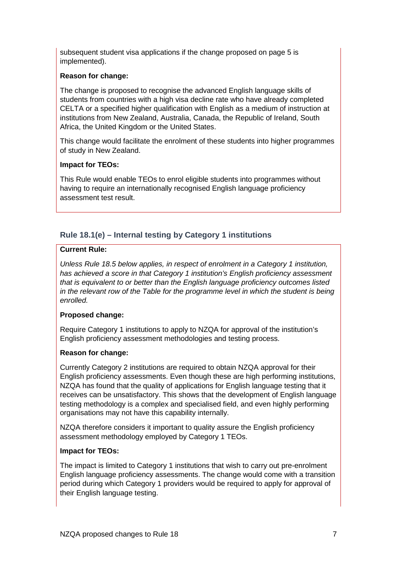subsequent student visa applications if the change proposed on page 5 is implemented).

### **Reason for change:**

The change is proposed to recognise the advanced English language skills of students from countries with a high visa decline rate who have already completed CELTA or a specified higher qualification with English as a medium of instruction at institutions from New Zealand, Australia, Canada, the Republic of Ireland, South Africa, the United Kingdom or the United States.

This change would facilitate the enrolment of these students into higher programmes of study in New Zealand.

### **Impact for TEOs:**

This Rule would enable TEOs to enrol eligible students into programmes without having to require an internationally recognised English language proficiency assessment test result.

### <span id="page-6-0"></span>**Rule 18.1(e) – Internal testing by Category 1 institutions**

### **Current Rule:**

*Unless Rule 18.5 below applies, in respect of enrolment in a Category 1 institution, has achieved a score in that Category 1 institution's English proficiency assessment that is equivalent to or better than the English language proficiency outcomes listed in the relevant row of the Table for the programme level in which the student is being enrolled.* 

### **Proposed change:**

Require Category 1 institutions to apply to NZQA for approval of the institution's English proficiency assessment methodologies and testing process.

### **Reason for change:**

Currently Category 2 institutions are required to obtain NZQA approval for their English proficiency assessments. Even though these are high performing institutions, NZQA has found that the quality of applications for English language testing that it receives can be unsatisfactory. This shows that the development of English language testing methodology is a complex and specialised field, and even highly performing organisations may not have this capability internally.

NZQA therefore considers it important to quality assure the English proficiency assessment methodology employed by Category 1 TEOs.

### **Impact for TEOs:**

The impact is limited to Category 1 institutions that wish to carry out pre-enrolment English language proficiency assessments. The change would come with a transition period during which Category 1 providers would be required to apply for approval of their English language testing.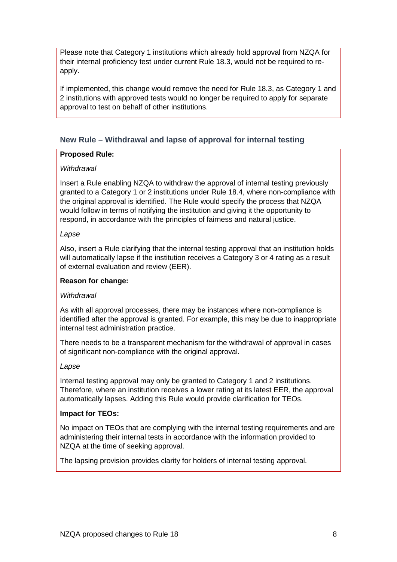Please note that Category 1 institutions which already hold approval from NZQA for their internal proficiency test under current Rule 18.3, would not be required to reapply.

If implemented, this change would remove the need for Rule 18.3, as Category 1 and 2 institutions with approved tests would no longer be required to apply for separate approval to test on behalf of other institutions.

### <span id="page-7-0"></span>**New Rule – Withdrawal and lapse of approval for internal testing**

### **Proposed Rule:**

### *Withdrawal*

Insert a Rule enabling NZQA to withdraw the approval of internal testing previously granted to a Category 1 or 2 institutions under Rule 18.4, where non-compliance with the original approval is identified. The Rule would specify the process that NZQA would follow in terms of notifying the institution and giving it the opportunity to respond, in accordance with the principles of fairness and natural justice.

### *Lapse*

Also, insert a Rule clarifying that the internal testing approval that an institution holds will automatically lapse if the institution receives a Category 3 or 4 rating as a result of external evaluation and review (EER).

### **Reason for change:**

### *Withdrawal*

As with all approval processes, there may be instances where non-compliance is identified after the approval is granted. For example, this may be due to inappropriate internal test administration practice.

There needs to be a transparent mechanism for the withdrawal of approval in cases of significant non-compliance with the original approval.

### *Lapse*

Internal testing approval may only be granted to Category 1 and 2 institutions. Therefore, where an institution receives a lower rating at its latest EER, the approval automatically lapses. Adding this Rule would provide clarification for TEOs.

### **Impact for TEOs:**

No impact on TEOs that are complying with the internal testing requirements and are administering their internal tests in accordance with the information provided to NZQA at the time of seeking approval.

The lapsing provision provides clarity for holders of internal testing approval.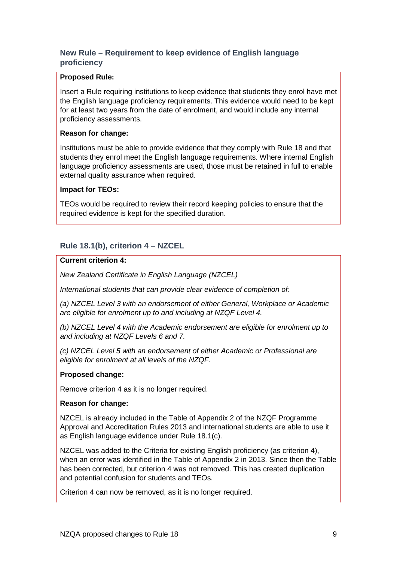### <span id="page-8-0"></span>**New Rule – Requirement to keep evidence of English language proficiency**

#### **Proposed Rule:**

Insert a Rule requiring institutions to keep evidence that students they enrol have met the English language proficiency requirements. This evidence would need to be kept for at least two years from the date of enrolment, and would include any internal proficiency assessments.

#### **Reason for change:**

Institutions must be able to provide evidence that they comply with Rule 18 and that students they enrol meet the English language requirements. Where internal English language proficiency assessments are used, those must be retained in full to enable external quality assurance when required.

### **Impact for TEOs:**

TEOs would be required to review their record keeping policies to ensure that the required evidence is kept for the specified duration.

### <span id="page-8-1"></span>**Rule 18.1(b), criterion 4 – NZCEL**

### **Current criterion 4:**

*New Zealand Certificate in English Language (NZCEL)*

*International students that can provide clear evidence of completion of:* 

*(a) NZCEL Level 3 with an endorsement of either General, Workplace or Academic are eligible for enrolment up to and including at NZQF Level 4.* 

*(b) NZCEL Level 4 with the Academic endorsement are eligible for enrolment up to and including at NZQF Levels 6 and 7.* 

*(c) NZCEL Level 5 with an endorsement of either Academic or Professional are eligible for enrolment at all levels of the NZQF.* 

### **Proposed change:**

Remove criterion 4 as it is no longer required.

### **Reason for change:**

NZCEL is already included in the Table of Appendix 2 of the NZQF Programme Approval and Accreditation Rules 2013 and international students are able to use it as English language evidence under Rule 18.1(c).

NZCEL was added to the Criteria for existing English proficiency (as criterion 4), when an error was identified in the Table of Appendix 2 in 2013. Since then the Table has been corrected, but criterion 4 was not removed. This has created duplication and potential confusion for students and TEOs.

Criterion 4 can now be removed, as it is no longer required.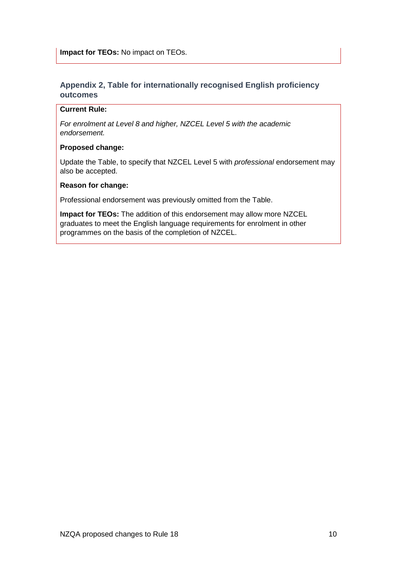### <span id="page-9-0"></span>**Appendix 2, Table for internationally recognised English proficiency outcomes**

### **Current Rule:**

*For enrolment at Level 8 and higher, NZCEL Level 5 with the academic endorsement.* 

### **Proposed change:**

Update the Table, to specify that NZCEL Level 5 with *professional* endorsement may also be accepted.

### **Reason for change:**

Professional endorsement was previously omitted from the Table.

**Impact for TEOs:** The addition of this endorsement may allow more NZCEL graduates to meet the English language requirements for enrolment in other programmes on the basis of the completion of NZCEL.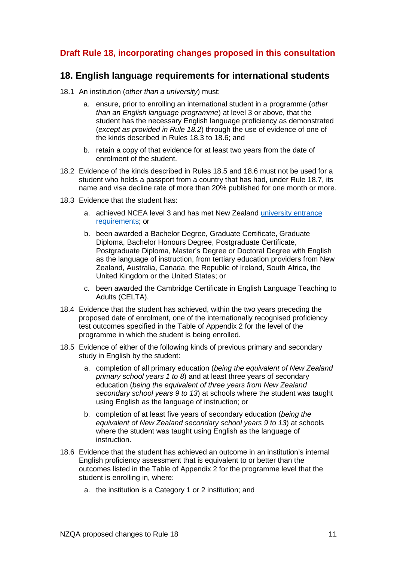## <span id="page-10-0"></span>**Draft Rule 18, incorporating changes proposed in this consultation**

### **18. English language requirements for international students**

- 18.1 An institution (*other than a university*) must:
	- a. ensure, prior to enrolling an international student in a programme (*other than an English language programme*) at level 3 or above, that the student has the necessary English language proficiency as demonstrated (*except as provided in Rule 18.2*) through the use of evidence of one of the kinds described in Rules 18.3 to 18.6; and
	- b. retain a copy of that evidence for at least two years from the date of enrolment of the student.
- 18.2 Evidence of the kinds described in Rules 18.5 and 18.6 must not be used for a student who holds a passport from a country that has had, under Rule 18.7, its name and visa decline rate of more than 20% published for one month or more.
- 18.3 Evidence that the student has:
	- a. achieved NCEA level 3 and has met New Zealand [university entrance](http://www.nzqa.govt.nz/qualifications-standards/awards/university-entrance/)  [requirements;](http://www.nzqa.govt.nz/qualifications-standards/awards/university-entrance/) or
	- b. been awarded a Bachelor Degree, Graduate Certificate, Graduate Diploma, Bachelor Honours Degree, Postgraduate Certificate, Postgraduate Diploma, Master's Degree or Doctoral Degree with English as the language of instruction, from tertiary education providers from New Zealand, Australia, Canada, the Republic of Ireland, South Africa, the United Kingdom or the United States; or
	- c. been awarded the Cambridge Certificate in English Language Teaching to Adults (CELTA).
- 18.4 Evidence that the student has achieved, within the two years preceding the proposed date of enrolment, one of the internationally recognised proficiency test outcomes specified in the Table of Appendix 2 for the level of the programme in which the student is being enrolled.
- 18.5 Evidence of either of the following kinds of previous primary and secondary study in English by the student:
	- a. completion of all primary education (*being the equivalent of New Zealand primary school years 1 to 8*) and at least three years of secondary education (*being the equivalent of three years from New Zealand secondary school years 9 to 13*) at schools where the student was taught using English as the language of instruction; or
	- b. completion of at least five years of secondary education (*being the equivalent of New Zealand secondary school years 9 to 13*) at schools where the student was taught using English as the language of instruction.
- 18.6 Evidence that the student has achieved an outcome in an institution's internal English proficiency assessment that is equivalent to or better than the outcomes listed in the Table of Appendix 2 for the programme level that the student is enrolling in, where:
	- a. the institution is a Category 1 or 2 institution; and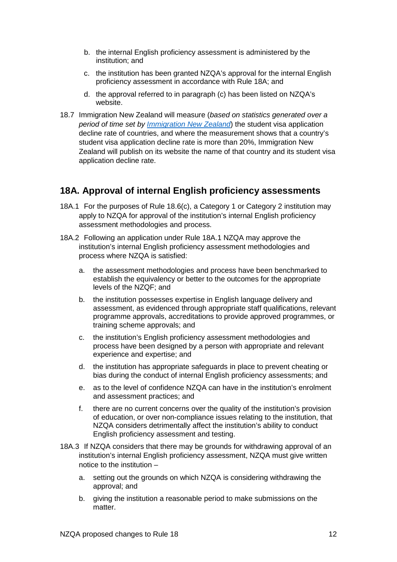- b. the internal English proficiency assessment is administered by the institution; and
- c. the institution has been granted NZQA's approval for the internal English proficiency assessment in accordance with Rule 18A; and
- d. the approval referred to in paragraph (c) has been listed on NZQA's website.
- 18.7 Immigration New Zealand will measure (*based on statistics generated over a period of time set by [Immigration New Zealand](http://www.immigration.govt.nz/)*) the student visa application decline rate of countries, and where the measurement shows that a country's student visa application decline rate is more than 20%, Immigration New Zealand will publish on its website the name of that country and its student visa application decline rate.

# **18A. Approval of internal English proficiency assessments**

- 18A.1 For the purposes of Rule 18.6(c), a Category 1 or Category 2 institution may apply to NZQA for approval of the institution's internal English proficiency assessment methodologies and process.
- 18A.2 Following an application under Rule 18A.1 NZQA may approve the institution's internal English proficiency assessment methodologies and process where NZQA is satisfied:
	- a. the assessment methodologies and process have been benchmarked to establish the equivalency or better to the outcomes for the appropriate levels of the NZQF; and
	- b. the institution possesses expertise in English language delivery and assessment, as evidenced through appropriate staff qualifications, relevant programme approvals, accreditations to provide approved programmes, or training scheme approvals; and
	- c. the institution's English proficiency assessment methodologies and process have been designed by a person with appropriate and relevant experience and expertise; and
	- d. the institution has appropriate safeguards in place to prevent cheating or bias during the conduct of internal English proficiency assessments; and
	- e. as to the level of confidence NZQA can have in the institution's enrolment and assessment practices; and
	- f. there are no current concerns over the quality of the institution's provision of education, or over non-compliance issues relating to the institution, that NZQA considers detrimentally affect the institution's ability to conduct English proficiency assessment and testing.
- 18A.3 If NZQA considers that there may be grounds for withdrawing approval of an institution's internal English proficiency assessment, NZQA must give written notice to the institution –
	- a. setting out the grounds on which NZQA is considering withdrawing the approval; and
	- b. giving the institution a reasonable period to make submissions on the matter